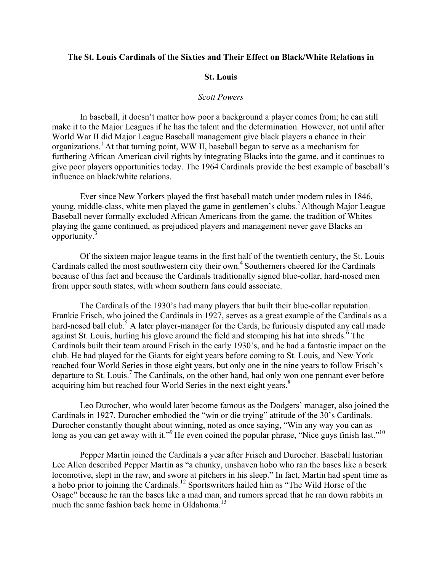### The St. Louis Cardinals of the Sixties and Their Effect on Black/White Relations in

#### **St. Louis**

#### **Scott Powers**

In baseball, it doesn't matter how poor a background a player comes from; he can still make it to the Major Leagues if he has the talent and the determination. However, not until after World War II did Major League Baseball management give black players a chance in their organizations.<sup>1</sup> At that turning point, WW II, baseball began to serve as a mechanism for furthering African American civil rights by integrating Blacks into the game, and it continues to give poor players opportunities today. The 1964 Cardinals provide the best example of baseball's influence on black/white relations.

Ever since New Yorkers played the first baseball match under modern rules in 1846, young, middle-class, white men played the game in gentlemen's clubs.<sup>2</sup> Although Major League Baseball never formally excluded African Americans from the game, the tradition of Whites playing the game continued, as prejudiced players and management never gave Blacks an opportunity. $3$ 

Of the sixteen major league teams in the first half of the twentieth century, the St. Louis Cardinals called the most southwestern city their own.<sup>4</sup> Southerners cheered for the Cardinals because of this fact and because the Cardinals traditionally signed blue-collar, hard-nosed men from upper south states, with whom southern fans could associate.

The Cardinals of the 1930's had many players that built their blue-collar reputation. Frankie Frisch, who joined the Cardinals in 1927, serves as a great example of the Cardinals as a hard-nosed ball club.<sup>5</sup> A later player-manager for the Cards, he furiously disputed any call made against St. Louis, hurling his glove around the field and stomping his hat into shreds.<sup>6</sup> The Cardinals built their team around Frisch in the early 1930's, and he had a fantastic impact on the club. He had played for the Giants for eight years before coming to St. Louis, and New York reached four World Series in those eight years, but only one in the nine years to follow Frisch's departure to St. Louis.<sup>7</sup> The Cardinals, on the other hand, had only won one pennant ever before acquiring him but reached four World Series in the next eight years.<sup>8</sup>

Leo Durocher, who would later become famous as the Dodgers' manager, also joined the Cardinals in 1927. Durocher embodied the "win or die trying" attitude of the 30's Cardinals. Durocher constantly thought about winning, noted as once saying, "Win any way you can as long as you can get away with it."<sup>9</sup> He even coined the popular phrase, "Nice guys finish last."<sup>10</sup>

Pepper Martin joined the Cardinals a year after Frisch and Durocher. Baseball historian Lee Allen described Pepper Martin as "a chunky, unshaven hobo who ran the bases like a beserk locomotive, slept in the raw, and swore at pitchers in his sleep." In fact, Martin had spent time as a hobo prior to joining the Cardinals.<sup>12</sup> Sportswriters hailed him as "The Wild Horse of the Osage" because he ran the bases like a mad man, and rumors spread that he ran down rabbits in much the same fashion back home in Oldahoma.<sup>13</sup>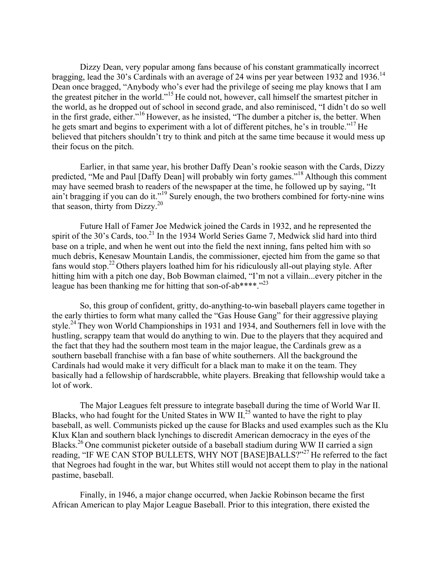Dizzy Dean, very popular among fans because of his constant grammatically incorrect bragging, lead the 30's Cardinals with an average of 24 wins per year between 1932 and 1936.<sup>14</sup> Dean once bragged, "Anybody who's ever had the privilege of seeing me play knows that I am the greatest pitcher in the world."<sup>15</sup> He could not, however, call himself the smartest pitcher in the world, as he dropped out of school in second grade, and also reminisced, "I didn't do so well in the first grade, either."<sup>16</sup> However, as he insisted, "The dumber a pitcher is, the better. When he gets smart and begins to experiment with a lot of different pitches, he's in trouble."<sup>17</sup> He believed that pitchers shouldn't try to think and pitch at the same time because it would mess up their focus on the pitch.

Earlier, in that same year, his brother Daffy Dean's rookie season with the Cards, Dizzy predicted, "Me and Paul [Daffy Dean] will probably win forty games."<sup>18</sup> Although this comment may have seemed brash to readers of the newspaper at the time, he followed up by saying, "It ain't bragging if you can do it."<sup>19</sup> Surely enough, the two brothers combined for forty-nine wins that season, thirty from Dizzy.<sup>20</sup>

Future Hall of Famer Joe Medwick joined the Cards in 1932, and he represented the spirit of the 30's Cards, too.<sup>21</sup> In the 1934 World Series Game 7, Medwick slid hard into third base on a triple, and when he went out into the field the next inning, fans pelted him with so much debris, Kenesaw Mountain Landis, the commissioner, ejected him from the game so that fans would stop.<sup>22</sup> Others players loathed him for his ridiculously all-out playing style. After hitting him with a pitch one day, Bob Bowman claimed, "I'm not a villain...every pitcher in the league has been thanking me for hitting that son-of-ab\*\*\*\*."23

So, this group of confident, gritty, do-anything-to-win baseball players came together in the early thirties to form what many called the "Gas House Gang" for their aggressive playing style.<sup>24</sup> They won World Championships in 1931 and 1934, and Southerners fell in love with the hustling, scrappy team that would do anything to win. Due to the players that they acquired and the fact that they had the southern most team in the major league, the Cardinals grew as a southern baseball franchise with a fan base of white southerners. All the background the Cardinals had would make it very difficult for a black man to make it on the team. They basically had a fellowship of hardscrabble, white players. Breaking that fellowship would take a lot of work.

The Major Leagues felt pressure to integrate baseball during the time of World War II. Blacks, who had fought for the United States in WW  $II^{25}$  wanted to have the right to play baseball, as well. Communists picked up the cause for Blacks and used examples such as the Klu Klux Klan and southern black lynchings to discredit American democracy in the eyes of the Blacks.<sup>26</sup> One communist picketer outside of a baseball stadium during WW II carried a sign reading, "IF WE CAN STOP BULLETS, WHY NOT [BASE]BALLS?"<sup>27</sup> He referred to the fact that Negroes had fought in the war, but Whites still would not accept them to play in the national pastime, baseball.

Finally, in 1946, a major change occurred, when Jackie Robinson became the first African American to play Major League Baseball. Prior to this integration, there existed the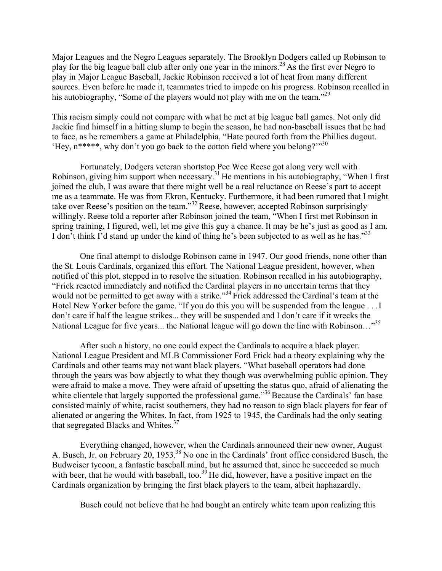Major Leagues and the Negro Leagues separately. The Brooklyn Dodgers called up Robinson to play for the big league ball club after only one year in the minors.<sup>28</sup> As the first ever Negro to play in Major League Baseball, Jackie Robinson received a lot of heat from many different sources. Even before he made it, teammates tried to impede on his progress. Robinson recalled in his autobiography, "Some of the players would not play with me on the team."<sup>29</sup>

This racism simply could not compare with what he met at big league ball games. Not only did Jackie find himself in a hitting slump to begin the season, he had non-baseball issues that he had to face, as he remembers a game at Philadelphia, "Hate poured forth from the Phillies dugout. 'Hey,  $n^{****}$ , why don't you go back to the cotton field where you belong?"<sup>30</sup>

Fortunately, Dodgers veteran shortstop Pee Wee Reese got along very well with Robinson, giving him support when necessary.<sup>31</sup> He mentions in his autobiography, "When I first joined the club, I was aware that there might well be a real reluctance on Reese's part to accept me as a teammate. He was from Ekron, Kentucky. Furthermore, it had been rumored that I might take over Reese's position on the team."<sup>32</sup> Reese, however, accepted Robinson surprisingly willingly. Reese told a reporter after Robinson joined the team, "When I first met Robinson in spring training, I figured, well, let me give this guy a chance. It may be he's just as good as I am. I don't think I'd stand up under the kind of thing he's been subjected to as well as he has."<sup>33</sup>

One final attempt to dislodge Robinson came in 1947. Our good friends, none other than the St. Louis Cardinals, organized this effort. The National League president, however, when notified of this plot, stepped in to resolve the situation. Robinson recalled in his autobiography, "Frick reacted immediately and notified the Cardinal players in no uncertain terms that they would not be permitted to get away with a strike."<sup>34</sup> Frick addressed the Cardinal's team at the Hotel New Yorker before the game. "If you do this you will be suspended from the league . . . I don't care if half the league strikes... they will be suspended and I don't care if it wrecks the National League for five years... the National league will go down the line with Robinson..."<sup>35</sup>

After such a history, no one could expect the Cardinals to acquire a black player. National League President and MLB Commissioner Ford Frick had a theory explaining why the Cardinals and other teams may not want black players. "What baseball operators had done through the years was bow abjectly to what they though was overwhelming public opinion. They were afraid to make a move. They were afraid of upsetting the status quo, afraid of alienating the white clientele that largely supported the professional game."<sup>36</sup> Because the Cardinals' fan base consisted mainly of white, racist southerners, they had no reason to sign black players for fear of alienated or angering the Whites. In fact, from 1925 to 1945, the Cardinals had the only seating that segregated Blacks and Whites.<sup>37</sup>

Everything changed, however, when the Cardinals announced their new owner, August A. Busch, Jr. on February 20, 1953.<sup>38</sup> No one in the Cardinals' front office considered Busch, the Budweiser tycoon, a fantastic baseball mind, but he assumed that, since he succeeded so much with beer, that he would with baseball, too.<sup>39</sup> He did, however, have a positive impact on the Cardinals organization by bringing the first black players to the team, albeit haphazardly.

Busch could not believe that he had bought an entirely white team upon realizing this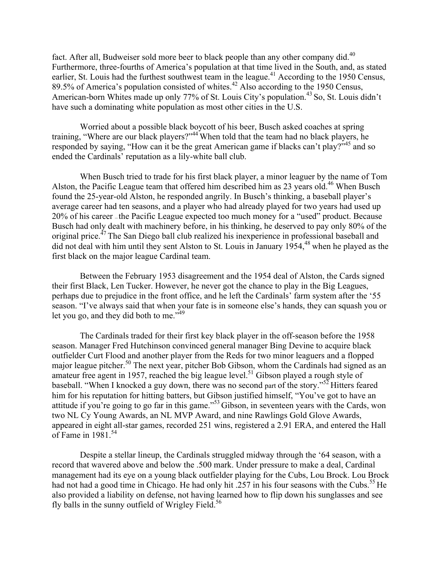fact. After all, Budweiser sold more beer to black people than any other company did.<sup>40</sup> Furthermore, three-fourths of America's population at that time lived in the South, and, as stated earlier, St. Louis had the furthest southwest team in the league.<sup>41</sup> According to the 1950 Census, 89.5% of America's population consisted of whites.<sup>42</sup> Also according to the 1950 Census, American-born Whites made up only 77% of St. Louis City's population.<sup>43</sup> So, St. Louis didn't have such a dominating white population as most other cities in the U.S.

Worried about a possible black boycott of his beer, Busch asked coaches at spring training, "Where are our black players?"<sup>44</sup> When told that the team had no black players, he responded by saying, "How can it be the great American game if blacks can't play?"<sup>45</sup> and so ended the Cardinals' reputation as a lily-white ball club.

When Busch tried to trade for his first black player, a minor leaguer by the name of Tom Alston, the Pacific League team that offered him described him as 23 years old.<sup>46</sup> When Busch found the 25-year-old Alston, he responded angrily. In Busch's thinking, a baseball player's average career had ten seasons, and a player who had already played for two years had used up 20% of his career – the Pacific League expected too much money for a "used" product. Because Busch had only dealt with machinery before, in his thinking, he deserved to pay only 80% of the original price.<sup>47</sup> The San Diego ball club realized his inexperience in professional baseball and did not deal with him until they sent Alston to St. Louis in January 1954,<sup>48</sup> when he played as the first black on the major league Cardinal team.

Between the February 1953 disagreement and the 1954 deal of Alston, the Cards signed their first Black, Len Tucker. However, he never got the chance to play in the Big Leagues, perhaps due to prejudice in the front office, and he left the Cardinals' farm system after the '55 season. "I've always said that when your fate is in someone else's hands, they can squash you or let you go, and they did both to me."<sup>49</sup>

The Cardinals traded for their first key black player in the off-season before the 1958 season. Manager Fred Hutchinson convinced general manager Bing Devine to acquire black outfielder Curt Flood and another player from the Reds for two minor leaguers and a flopped major league pitcher.<sup>50</sup> The next year, pitcher Bob Gibson, whom the Cardinals had signed as an amateur free agent in 1957, reached the big league level.<sup>51</sup> Gibson played a rough style of baseball. "When I knocked a guy down, there was no second part of the story."<sup>52</sup> Hitters feared him for his reputation for hitting batters, but Gibson justified himself, "You've got to have an attitude if you're going to go far in this game."<sup>53</sup> Gibson, in seventeen years with the Cards, won two NL Cy Young Awards, an NL MVP Award, and nine Rawlings Gold Glove Awards, appeared in eight all-star games, recorded 251 wins, registered a 2.91 ERA, and entered the Hall of Fame in  $1981^{54}$ 

Despite a stellar lineup, the Cardinals struggled midway through the '64 season, with a record that wavered above and below the .500 mark. Under pressure to make a deal, Cardinal management had its eye on a young black outfielder playing for the Cubs, Lou Brock. Lou Brock had not had a good time in Chicago. He had only hit .257 in his four seasons with the Cubs.<sup>55</sup> He also provided a liability on defense, not having learned how to flip down his sunglasses and see fly balls in the sunny outfield of Wrigley Field.<sup>56</sup>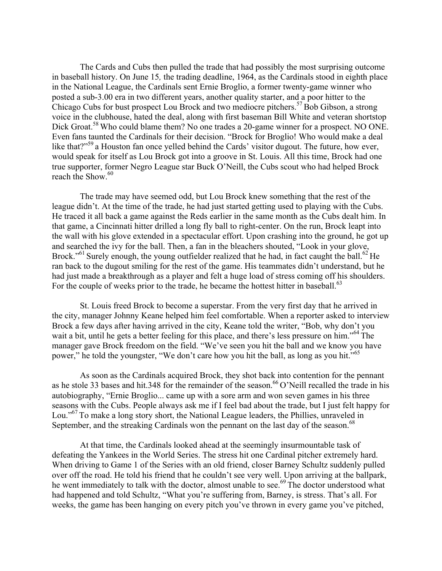The Cards and Cubs then pulled the trade that had possibly the most surprising outcome in baseball history. On June 15, the trading deadline, 1964, as the Cardinals stood in eighth place in the National League, the Cardinals sent Ernie Broglio, a former twenty-game winner who posted a sub-3.00 era in two different years, another quality starter, and a poor hitter to the Chicago Cubs for bust prospect Lou Brock and two mediocre pitchers.<sup>57</sup> Bob Gibson, a strong voice in the clubhouse, hated the deal, along with first baseman Bill White and veteran shortstop Dick Groat.<sup>58</sup> Who could blame them? No one trades a 20-game winner for a prospect. NO ONE. Even fans taunted the Cardinals for their decision. "Brock for Broglio! Who would make a deal like that?"<sup>59</sup> a Houston fan once yelled behind the Cards' visitor dugout. The future, how ever, would speak for itself as Lou Brock got into a groove in St. Louis. All this time, Brock had one true supporter, former Negro League star Buck O'Neill, the Cubs scout who had helped Brock reach the Show.<sup>60</sup>

The trade may have seemed odd, but Lou Brock knew something that the rest of the league didn't. At the time of the trade, he had just started getting used to playing with the Cubs. He traced it all back a game against the Reds earlier in the same month as the Cubs dealt him. In that game, a Cincinnati hitter drilled a long fly ball to right-center. On the run, Brock leapt into the wall with his glove extended in a spectacular effort. Upon crashing into the ground, he got up and searched the ivy for the ball. Then, a fan in the bleachers shouted, "Look in your glove, Brock."<sup>61</sup> Surely enough, the young outfielder realized that he had, in fact caught the ball.<sup>62</sup> He ran back to the dugout smiling for the rest of the game. His teammates didn't understand, but he had just made a breakthrough as a player and felt a huge load of stress coming off his shoulders. For the couple of weeks prior to the trade, he became the hottest hitter in baseball.<sup>63</sup>

St. Louis freed Brock to become a superstar. From the very first day that he arrived in the city, manager Johnny Keane helped him feel comfortable. When a reporter asked to interview Brock a few days after having arrived in the city, Keane told the writer, "Bob, why don't you wait a bit, until he gets a better feeling for this place, and there's less pressure on him."<sup>64</sup> The manager gave Brock freedom on the field. "We've seen you hit the ball and we know you have power," he told the youngster, "We don't care how you hit the ball, as long as you hit."<sup>65</sup>

As soon as the Cardinals acquired Brock, they shot back into contention for the pennant as he stole 33 bases and hit.348 for the remainder of the season.<sup>66</sup> O'Neill recalled the trade in his autobiography, "Ernie Broglio... came up with a sore arm and won seven games in his three seasons with the Cubs. People always ask me if I feel bad about the trade, but I just felt happy for Lou."<sup>67</sup> To make a long story short, the National League leaders, the Phillies, unraveled in September, and the streaking Cardinals won the pennant on the last day of the season.<sup>68</sup>

At that time, the Cardinals looked ahead at the seemingly insurmountable task of defeating the Yankees in the World Series. The stress hit one Cardinal pitcher extremely hard. When driving to Game 1 of the Series with an old friend, closer Barney Schultz suddenly pulled over off the road. He told his friend that he couldn't see very well. Upon arriving at the ballpark, he went immediately to talk with the doctor, almost unable to see.<sup>69</sup> The doctor understood what had happened and told Schultz, "What you're suffering from, Barney, is stress. That's all. For weeks, the game has been hanging on every pitch you've thrown in every game you've pitched,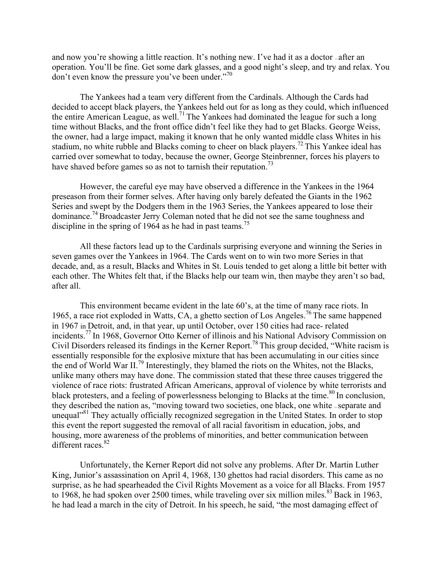and now you're showing a little reaction. It's nothing new. I've had it as a doctor-after an operation. You'll be fine. Get some dark glasses, and a good night's sleep, and try and relax. You don't even know the pressure you've been under."70

The Yankees had a team very different from the Cardinals. Although the Cards had decided to accept black players, the Yankees held out for as long as they could, which influenced the entire American League, as well.<sup>71</sup> The Yankees had dominated the league for such a long time without Blacks, and the front office didn't feel like they had to get Blacks. George Weiss, the owner, had a large impact, making it known that he only wanted middle class Whites in his stadium, no white rubble and Blacks coming to cheer on black players.<sup>72</sup> This Yankee ideal has carried over somewhat to today, because the owner, George Steinbrenner, forces his players to have shaved before games so as not to tarnish their reputation.<sup>73</sup>

However, the careful eve may have observed a difference in the Yankees in the 1964 preseason from their former selves. After having only barely defeated the Giants in the 1962 Series and swept by the Dodgers them in the 1963 Series, the Yankees appeared to lose their dominance.<sup>74</sup> Broadcaster Jerry Coleman noted that he did not see the same toughness and discipline in the spring of 1964 as he had in past teams.<sup>75</sup>

All these factors lead up to the Cardinals surprising everyone and winning the Series in seven games over the Yankees in 1964. The Cards went on to win two more Series in that decade, and, as a result, Blacks and Whites in St. Louis tended to get along a little bit better with each other. The Whites felt that, if the Blacks help our team win, then maybe they aren't so bad, after all.

This environment became evident in the late 60's, at the time of many race riots. In 1965, a race riot exploded in Watts, CA, a ghetto section of Los Angeles.<sup>76</sup> The same happened in 1967 in Detroit, and, in that year, up until October, over 150 cities had race-related incidents.<sup>77</sup> In 1968, Governor Otto Kerner of illinois and his National Advisory Commission on Civil Disorders released its findings in the Kerner Report.<sup>78</sup> This group decided, "White racism is essentially responsible for the explosive mixture that has been accumulating in our cities since the end of World War II.<sup>79</sup> Interestingly, they blamed the riots on the Whites, not the Blacks, unlike many others may have done. The commission stated that these three causes triggered the violence of race riots: frustrated African Americans, approval of violence by white terrorists and black protesters, and a feeling of powerlessness belonging to Blacks at the time.<sup>80</sup> In conclusion, they described the nation as, "moving toward two societies, one black, one white -separate and unequal<sup>381</sup> They actually officially recognized segregation in the United States. In order to stop this event the report suggested the removal of all racial favoritism in education, jobs, and housing, more awareness of the problems of minorities, and better communication between different races.<sup>82</sup>

Unfortunately, the Kerner Report did not solve any problems. After Dr. Martin Luther King, Junior's assassination on April 4, 1968, 130 ghettos had racial disorders. This came as no surprise, as he had spearheaded the Civil Rights Movement as a voice for all Blacks. From 1957 to 1968, he had spoken over 2500 times, while traveling over six million miles.<sup>83</sup> Back in 1963, he had lead a march in the city of Detroit. In his speech, he said, "the most damaging effect of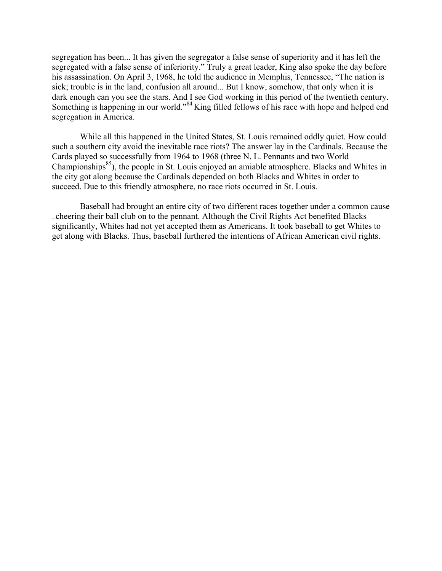segregation has been... It has given the segregator a false sense of superiority and it has left the segregated with a false sense of inferiority." Truly a great leader, King also spoke the day before his assassination. On April 3, 1968, he told the audience in Memphis, Tennessee, "The nation is sick; trouble is in the land, confusion all around... But I know, somehow, that only when it is dark enough can you see the stars. And I see God working in this period of the twentieth century. Something is happening in our world."<sup>84</sup> King filled fellows of his race with hope and helped end segregation in America.

While all this happened in the United States, St. Louis remained oddly quiet. How could such a southern city avoid the inevitable race riots? The answer lay in the Cardinals. Because the Cards played so successfully from 1964 to 1968 (three N. L. Pennants and two World Championships<sup>85</sup>), the people in St. Louis enjoyed an amiable atmosphere. Blacks and Whites in the city got along because the Cardinals depended on both Blacks and Whites in order to succeed. Due to this friendly atmosphere, no race riots occurred in St. Louis.

Baseball had brought an entire city of two different races together under a common cause -cheering their ball club on to the pennant. Although the Civil Rights Act benefited Blacks significantly, Whites had not yet accepted them as Americans. It took baseball to get Whites to get along with Blacks. Thus, baseball furthered the intentions of African American civil rights.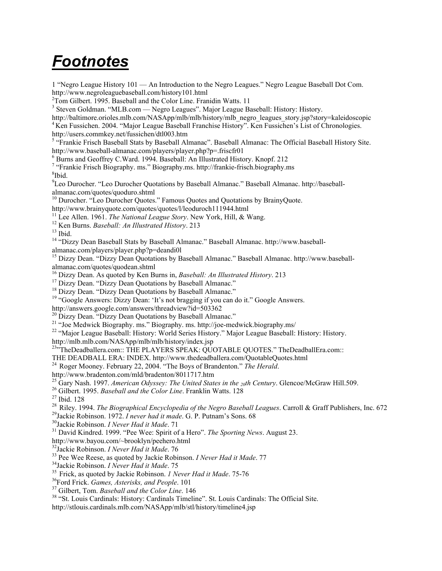## **Footnotes**

1 "Negro League History 101 — An Introduction to the Negro Leagues." Negro League Baseball Dot Com. http://www.negroleaguebaseball.com/history101.html

<sup>2</sup>Tom Gilbert. 1995. Baseball and the Color Line. Franidin Watts. 11

<sup>3</sup> Steven Goldman. "MLB.com — Negro Leagues". Major League Baseball: History: History.

http://baltimore.orioles.mlb.com/NASApp/mlb/mlb/history/mlb negro leagues story.jsp?story=kaleidoscopic <sup>4</sup> Ken Fussichen. 2004. "Major League Baseball Franchise History". Ken Fussichen's List of Chronologies.

http://users.commkey.net/fussichen/dtl003.htm

<sup>5</sup> "Frankie Frisch Baseball Stats by Baseball Almanac". Baseball Almanac: The Official Baseball History Site. http://www.baseball-almanac.com/players/player.php?p=.friscfr01

<sup>6</sup> Burns and Geoffrey C.Ward. 1994. Baseball: An Illustrated History. Knopf. 212

<sup>7</sup> "Frankie Frisch Biography. ms." Biography.ms. http://frankie-frisch.biography.ms <sup>8</sup>Ibid.

<sup>9</sup>Leo Durocher. "Leo Durocher Quotations by Baseball Almanac." Baseball Almanac. http://baseballalmanac.com/quotes/quoduro.shtml

<sup>10</sup> Durocher. "Leo Durocher Quotes." Famous Quotes and Quotations by BrainyQuote.

http://www.brainyquote.com/quotes/quotes/l/leoduroch111944.html

<sup>11</sup> Lee Allen. 1961. *The National League Story*. New York, Hill, & Wang.

<sup>12</sup> Ken Burns. Baseball: An Illustrated History. 213

 $13$  Ibid.

<sup>14</sup> "Dizzy Dean Baseball Stats by Baseball Almanac." Baseball Almanac. http://www.baseball-

almanac.com/players/player.php?p=deandi0l

<sup>15</sup> Dizzy Dean. "Dizzy Dean Quotations by Baseball Almanac." Baseball Almanac. http://www.baseballalmanac.com/quotes/quodean.shtml

<sup>16</sup> Dizzy Dean. As quoted by Ken Burns in, *Baseball: An Illustrated History*. 213

<sup>17</sup> Dizzy Dean. "Dizzy Dean Quotations by Baseball Almanac."

<sup>18</sup> Dizzy Dean. "Dizzy Dean Quotations by Baseball Almanac."

<sup>19</sup> "Google Answers: Dizzy Dean: 'It's not bragging if you can do it." Google Answers.

http://answers.google.com/answers/threadview?id=503362<br><sup>20</sup> Dizzy Dean. "Dizzy Dean Quotations by Baseball Almanac."

<sup>21</sup> "Joe Medwick Biography. ms." Biography. ms. http://joe-medwick.biography.ms/

<sup>22</sup> "Major League Baseball: History: World Series History." Major League Baseball: History: History.

http://mlb.mlb.com/NASApp/mlb/mlb/history/index.jsp

<sup>23</sup><sup>23</sup>TheDeadballera.com:: THE PLAYERS SPEAK: QUOTABLE QUOTES." TheDeadballEra.com::

THE DEADBALL ERA: INDEX. http://www.thedeadballera.com/QuotableQuotes.html

<sup>24</sup> Roger Mooney. February 22, 2004. "The Boys of Brandenton." The Herald.

http://www.bradenton.com/mld/bradenton/8011717.htm

<sup>25</sup> Gary Nash. 1997. American Odyssey: The United States in the <sub>20</sub>th Century. Glencoe/McGraw Hill.509.

<sup>26</sup> Gilbert. 1995. Baseball and the Color Line. Franklin Watts. 128

 $27$  Ibid. 128

<sup>28</sup> Riley. 1994. The Biographical Encyclopedia of the Negro Baseball Leagues. Carroll & Graff Publishers, Inc. 672

<sup>29</sup>Jackie Robinson. 1972. *I never had it made*. G. P. Putnam's Sons. 68

<sup>30</sup>Jackie Robinson. I Never Had it Made. 71

<sup>31</sup> David Kindred. 1999. "Pee Wee: Spirit of a Hero". The Sporting News. August 23.

http://www.bayou.com/~brooklyn/peehero.html

<sup>32</sup>Jackie Robinson. *I Never Had it Made*. 76

<sup>33</sup> Pee Wee Reese, as quoted by Jackie Robinson. *I Never Had it Made*. 77

<sup>34</sup>Jackie Robinson. *I Never Had it Made*. 75

<sup>35</sup> Frick, as quoted by Jackie Robinson. *1 Never Had it Made*. 75-76

<sup>36</sup>Ford Frick. Games, Asterisks, and People. 101

<sup>37</sup> Gilbert, Tom. Baseball and the Color Line. 146

<sup>38</sup> "St. Louis Cardinals: History: Cardinals Timeline". St. Louis Cardinals: The Official Site.

http://stlouis.cardinals.mlb.com/NASApp/mlb/stl/history/timeline4.jsp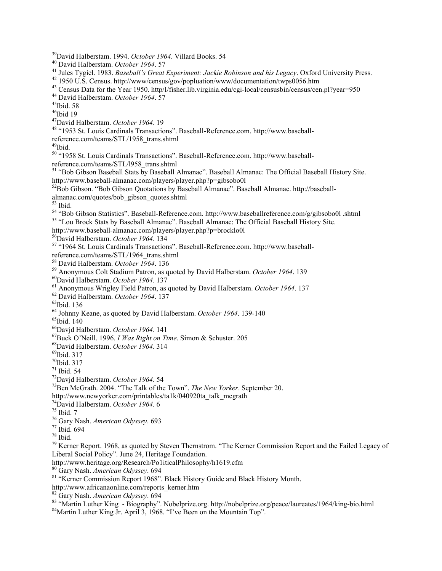<sup>39</sup>David Halberstam. 1994. October 1964. Villard Books. 54

<sup>40</sup> David Halberstam. October 1964. 57

<sup>41</sup> Jules Tygiel. 1983. *Baseball's Great Experiment: Jackie Robinson and his Legacy*. Oxford University Press.

<sup>42</sup> 1950 U.S. Census. http://www/census/gov/popluation/www/documentation/twps0056.htm

<sup>43</sup> Census Data for the Year 1950. http/I/fisher.lib.virginia.edu/cgi-local/censusbin/census/cen.pl?year=950 <sup>44</sup> David Halberstam. October 1964. 57

 $45$ Ibid. 58  $^{46}$ Ibid 19

 $47$ David Halberstam. October 1964. 19

<sup>48</sup> "1953 St. Louis Cardinals Transactions". Baseball-Reference.com. http://www.baseball-

reference.com/teams/STL/1958 trans.shtml

<sup>49</sup>Ibid.

<sup>50</sup> "1958 St. Louis Cardinals Transactions". Baseball-Reference.com. http://www.baseball-

reference.com/teams/STL/1958\_trans.shtml<br>
<sup>51</sup> "Bob Gibson Baseball Stats by Baseball Almanac". Baseball Almanac: The Official Baseball History Site. http://www.baseball-almanac.com/players/player.php?p=gibsobo0l

<sup>52</sup>Bob Gibson. "Bob Gibson Quotations by Baseball Almanac". Baseball Almanac. http://baseballalmanac.com/quotes/bob\_gibson\_quotes.shtml

 $53$  Ibid.

<sup>54</sup> "Bob Gibson Statistics". Baseball-Reference.com. http://www.baseballreference.com/g/gibsobo0l .shtml

<sup>55</sup> "Lou Brock Stats by Baseball Almanac". Baseball Almanac: The Official Baseball History Site.

http://www.baseball-almanac.com/players/player.php?p=brocklo0l

<sup>56</sup>David Halberstam. October 1964. 134

<sup>57</sup> "1964 St. Louis Cardinals Transactions". Baseball-Reference.com. http://www.baseball-

reference.com/teams/STL/1964 trans.shtml

<sup>58</sup> David Halberstam. October 1964. 136

<sup>59</sup> Anonymous Colt Stadium Patron, as quoted by David Halberstam. *October 1964*. 139

<sup>60</sup>David Halberstam. October 1964. 137

<sup>61</sup> Anonymous Wrigley Field Patron, as quoted by David Halberstam. October 1964. 137

<sup>62</sup> David Halberstam. October 1964. 137

 $^{63}$  Ibid. 136

<sup>64</sup> Johnny Keane, as quoted by David Halberstam. October 1964. 139-140

 $65$ Ibid. 140

<sup>66</sup>David Halberstam. October 1964. 141

<sup>67</sup>Buck O'Neill. 1996. I Was Right on Time. Simon & Schuster. 205

<sup>68</sup>David Halberstam. October 1964, 314

<sup>69</sup>Ibid. 317

 $70$ Ibid. 317

 $71$  Ibid. 54

<sup>72</sup>David Halberstam. October 1964. 54

<sup>73</sup>Ben McGrath. 2004. "The Talk of the Town". *The New Yorker*. September 20.

http://www.newyorker.com/printables/ta1k/040920ta talk mcgrath

<sup>74</sup>David Halberstam. October 1964. 6

 $75$  Ibid.  $7$ 

<sup>76</sup> Gary Nash. American Odyssey. 693

<sup>77</sup> Ibid. 694

 $78$  Ibid.

<sup>79</sup> Kerner Report. 1968, as quoted by Steven Thernstrom. "The Kerner Commission Report and the Failed Legacy of Liberal Social Policy". June 24, Heritage Foundation.

http://www.heritage.org/Research/Po1iticalPhilosophy/h1619.cfm

<sup>80</sup> Gary Nash. American Odyssey. 694

<sup>81</sup> "Kerner Commission Report 1968". Black History Guide and Black History Month.

http://www.africanaonline.com/reports kerner.htm

<sup>82</sup> Gary Nash. American Odyssey. 694

83 "Martin Luther King - Biography". Nobelprize.org. http://nobelprize.org/peace/laureates/1964/king-bio.html

<sup>84</sup>Martin Luther King Jr. April 3, 1968. "I've Been on the Mountain Top".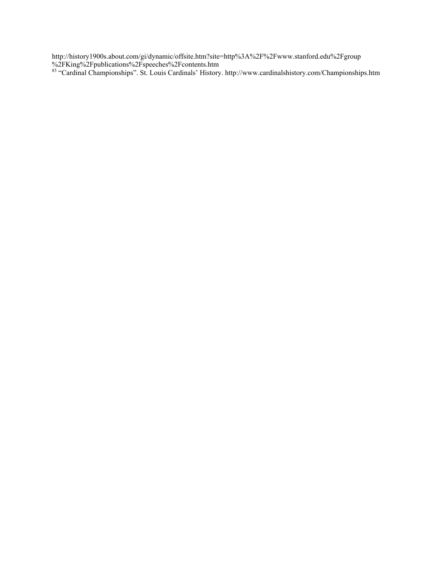http://history1900s.about.com/gi/dynamic/offsite.htm?site=http%3A%2F%2Fwww.stanford.edu%2Fgroup<br>%2FKing%2Fpublications%2Fspeeches%2Fcontents.htm<br>% "Cardinal Championships". St. Louis Cardinals' History. http://www.cardinal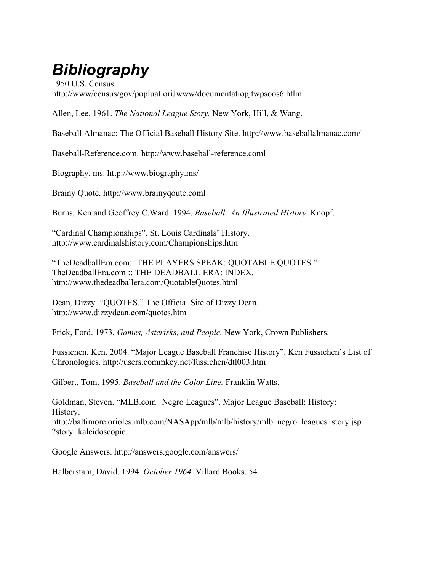# **Bibliography**

1950 U.S. Census. http://www/census/gov/popluatioriJwww/documentationitwpsoos6.htlm

Allen, Lee. 1961. The National League Story. New York, Hill, & Wang.

Baseball Almanac: The Official Baseball History Site. http://www.baseballalmanac.com/

Baseball-Reference.com. http://www.baseball-reference.coml

Biography. ms. http://www.biography.ms/

Brainy Quote. http://www.brainyqoute.coml

Burns, Ken and Geoffrey C.Ward. 1994. Baseball: An Illustrated History. Knopf.

"Cardinal Championships". St. Louis Cardinals' History. http://www.cardinalshistory.com/Championships.htm

"TheDeadballEra.com:: THE PLAYERS SPEAK: QUOTABLE QUOTES." TheDeadballEra.com:: THE DEADBALL ERA: INDEX. http://www.thedeadballera.com/QuotableQuotes.html

Dean, Dizzy. "QUOTES." The Official Site of Dizzy Dean. http://www.dizzydean.com/quotes.htm

Frick, Ford. 1973. Games, Asterisks, and People. New York, Crown Publishers.

Fussichen, Ken. 2004. "Major League Baseball Franchise History". Ken Fussichen's List of Chronologies. http://users.commkey.net/fussichen/dtl003.htm

Gilbert, Tom. 1995. Baseball and the Color Line. Franklin Watts.

Goldman, Steven. "MLB.com - Negro Leagues". Major League Baseball: History: History. http://baltimore.orioles.mlb.com/NASApp/mlb/mlb/history/mlb negro leagues story.jsp ?story=kaleidoscopic

Google Answers. http://answers.google.com/answers/

Halberstam, David. 1994. October 1964. Villard Books. 54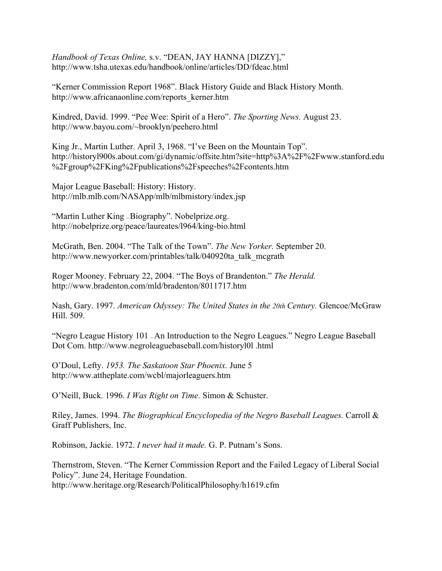Handbook of Texas Online, s.v. "DEAN, JAY HANNA [DIZZY]," http://www.tsha.utexas.edu/handbook/online/articles/DD/fdeac.html

"Kerner Commission Report 1968". Black History Guide and Black History Month. http://www.africanaonline.com/reports kerner.htm

Kindred, David. 1999. "Pee Wee: Spirit of a Hero". The Sporting News. August 23. http://www.bayou.com/~brooklyn/peehero.html

King Jr., Martin Luther. April 3, 1968. "I've Been on the Mountain Top". http://historyl900s.about.com/gi/dynamic/offsite.htm?site=http%3A%2F%2Fwww.stanford.edu %2Fgroup%2FKing%2Fpublications%2Fspeeches%2Fcontents.htm

Major League Baseball: History: History. http://mlb.mlb.com/NASApp/mlb/mlbmistory/index.jsp

"Martin Luther King - Biography". Nobelprize.org. http://nobelprize.org/peace/laureates/1964/king-bio.html

McGrath, Ben. 2004. "The Talk of the Town". The New Yorker. September 20. http://www.newyorker.com/printables/talk/040920ta talk mcgrath

Roger Mooney. February 22, 2004. "The Boys of Brandenton." The Herald. http://www.bradenton.com/mld/bradenton/8011717.htm

Nash, Gary. 1997. American Odyssey: The United States in the 20th Century. Glencoe/McGraw Hill. 509.

"Negro League History 101 - An Introduction to the Negro Leagues." Negro League Baseball Dot Com. http://www.negroleaguebaseball.com/historyl01.html

O'Doul, Lefty. 1953. The Saskatoon Star Phoenix. June 5 http://www.attheplate.com/wcbl/majorleaguers.htm

O'Neill, Buck. 1996. I Was Right on Time. Simon & Schuster.

Riley, James. 1994. The Biographical Encyclopedia of the Negro Baseball Leagues. Carroll & Graff Publishers, Inc.

Robinson, Jackie. 1972. *I never had it made*. G. P. Putnam's Sons.

Thernstrom, Steven. "The Kerner Commission Report and the Failed Legacy of Liberal Social Policy". June 24, Heritage Foundation. http://www.heritage.org/Research/PoliticalPhilosophy/h1619.cfm